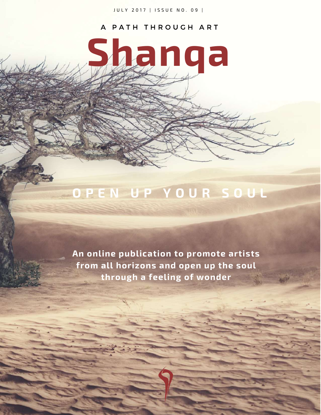JULY 2017 | ISSUE NO. 09 |

### A PATH THROUGH ART

**Shanqa**

## **O P E N U P Y O U R S O U L**

**An online publication to promote artists from all horizons and open up the soul through a feeling of wonder**

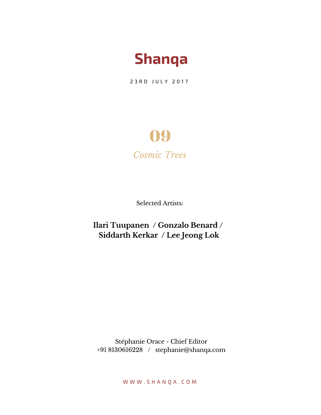

23 R D J U L Y 2017

## 09 *Cosmic Trees*

Selected Artists:

**Ilari Tuupanen / Gonzalo Benard / Siddarth Kerkar / Lee Jeong Lok**

Stéphanie Orace - Chief Editor +91 8130616228 / stephanie@shanqa.com

W W W . S H A N Q A . C O M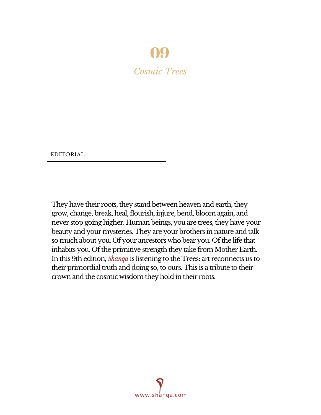## 09

*Cosmic Trees*

EDITORIAL

They have their roots, they stand between heaven and earth, they grow, change, break, heal, flourish, injure, bend, bloom again, and never stop going higher. Human beings, you are trees, they have your beauty and your mysteries. They are your brothers in nature and talk so much about you. Of your ancestors who bear you. Of the life that inhabits you. Of the primitive strength they take from Mother Earth. In this 9th edition, *Shanqa* is listening to the Trees: art reconnects us to their primordial truth and doing so, to ours. This is a tribute to their crown and the cosmic wisdom they hold in their roots.